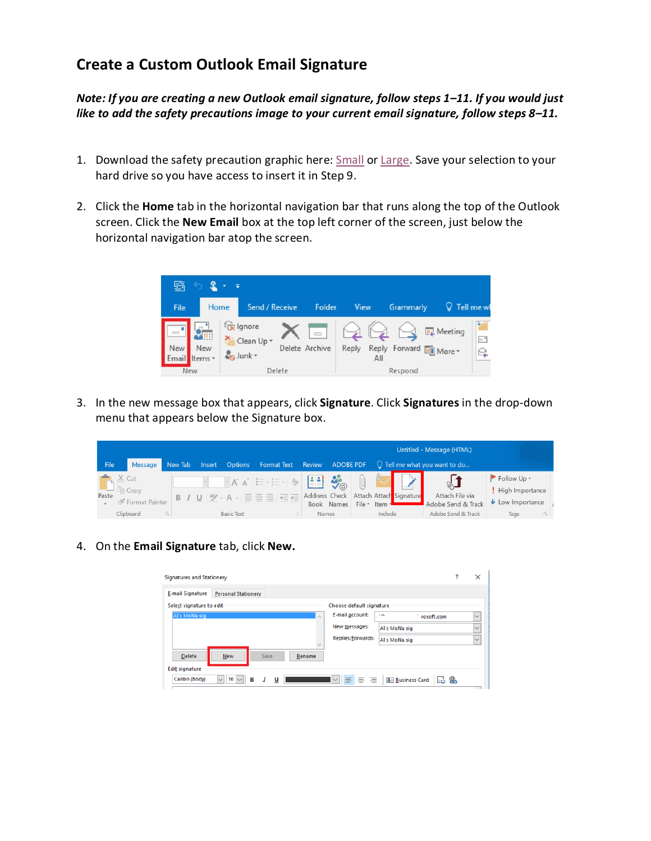## **Create a Custom Outlook Email Signature**

*Note: If you are creating a new Outlook email signature, follow steps 1–11. If you would just like to add the safety precautions image to your current email signature, follow steps 8–11.*

- 1. Download the safety precaution graphic here: [Small](https://cdn2.webdamdb.com/md_6IFeg8FpGvr3.jpg?1598615665) or [Large.](https://cdn2.webdamdb.com/md_w388EcR9tt91.jpg?1598615672) Save your selection to your hard drive so you have access to insert it in Step 9.
- 2. Click the **Home** tab in the horizontal navigation bar that runs along the top of the Outlook screen. Click the **New Email** box at the top left corner of the screen, just below the horizontal navigation bar atop the screen.



3. In the new message box that appears, click **Signature**. Click **Signatures** in the drop-down menu that appears below the Signature box.

|                           |  |                |    |                                                                                       |        |                   |                                                                                                                                                                                                                                                                                                                                                                                       |        |                             | Untitled - Message (HTML) |                                       |                          |                                        |                                |  |
|---------------------------|--|----------------|----|---------------------------------------------------------------------------------------|--------|-------------------|---------------------------------------------------------------------------------------------------------------------------------------------------------------------------------------------------------------------------------------------------------------------------------------------------------------------------------------------------------------------------------------|--------|-----------------------------|---------------------------|---------------------------------------|--------------------------|----------------------------------------|--------------------------------|--|
| File                      |  | Message        |    | New Tab                                                                               | Insert | <b>Options</b>    | Format Text                                                                                                                                                                                                                                                                                                                                                                           | Review | <b>ADOBE PDF</b>            |                           |                                       |                          | $\bigcirc$ Tell me what you want to do |                                |  |
|                           |  | <b>A</b> & Cut |    |                                                                                       |        |                   | $\mathbb{E}[\mathbf{A}^* \mathbf{A}^*] \coloneqq \mathbb{E}[\mathbf{A}^* \mathbf{A}^*] = \mathbb{E}[\mathbf{A}^* \mathbf{A}^* \mathbf{A}^*] = \mathbb{E}[\mathbf{A}^* \mathbf{A}^* \mathbf{A}^*] = \mathbb{E}[\mathbf{A}^* \mathbf{A}^* \mathbf{A}^*] = \mathbb{E}[\mathbf{A}^* \mathbf{A}^* \mathbf{A}^*] = \mathbb{E}[\mathbf{A}^* \mathbf{A}^* \mathbf{A}^*] = \mathbb{E}[\mathbf$ |        |                             | U                         |                                       |                          | $\mathbb{C}$                           | Follow Up *<br>High Importance |  |
| Paste<br>S Format Painter |  |                |    | <b>B</b> $I \cup  \mathcal{Y} \cdot A  \equiv \equiv \equiv  \equiv  \equiv \equiv  $ |        | Address Check     | Book Names                                                                                                                                                                                                                                                                                                                                                                            |        | File $\sim$ Item $\sqrt{ }$ | Attach Attach Signature   | Attach File via<br>Adobe Send & Track | $\bigcup$ Low Importance |                                        |                                |  |
|                           |  | Clipboard      | Б. |                                                                                       |        | <b>Basic Text</b> |                                                                                                                                                                                                                                                                                                                                                                                       | Names  |                             |                           | Include                               |                          | Adobe Send & Track                     | Б.<br>Tags                     |  |

4. On the **Email Signature** tab, click **New.**

| Signatures and Stationery                                                                                                           |  | $\times$     |  |  |  |  |
|-------------------------------------------------------------------------------------------------------------------------------------|--|--------------|--|--|--|--|
| <b>E-mail Signature</b><br><b>Personal Stationery</b>                                                                               |  |              |  |  |  |  |
| Select signature to edit<br>Choose default signature                                                                                |  |              |  |  |  |  |
| E-mail account:<br>Al's MoNa sig<br>$\overline{\phantom{a}}$<br>rosoft.com<br>$\mathcal{L}_{\mathcal{N}}$                           |  | $\checkmark$ |  |  |  |  |
| New messages:<br>Al's MoNa sig                                                                                                      |  | $\checkmark$ |  |  |  |  |
| Replies/forwards:<br>Al's MoNa sig<br>$\backsim$                                                                                    |  | $\checkmark$ |  |  |  |  |
| Delete<br>New<br>Save<br>Rename                                                                                                     |  |              |  |  |  |  |
| <b>Edit signature</b>                                                                                                               |  |              |  |  |  |  |
| $\vee$ 16 $\vee$<br>IIEI BI BI<br>Calibri (Body)<br>B &<br><b>A= Business Card</b><br>B<br>I<br>$ \vee $<br>$\overline{\mathsf{u}}$ |  |              |  |  |  |  |